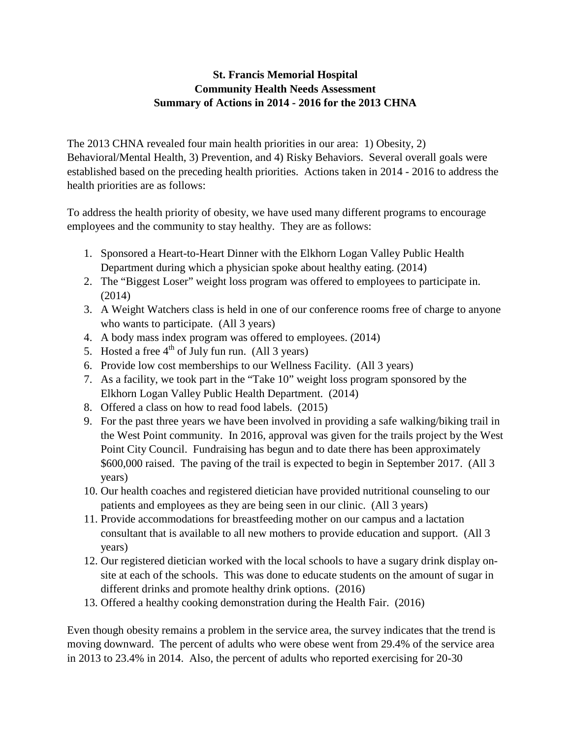## **St. Francis Memorial Hospital Community Health Needs Assessment Summary of Actions in 2014 - 2016 for the 2013 CHNA**

The 2013 CHNA revealed four main health priorities in our area: 1) Obesity, 2) Behavioral/Mental Health, 3) Prevention, and 4) Risky Behaviors. Several overall goals were established based on the preceding health priorities. Actions taken in 2014 - 2016 to address the health priorities are as follows:

To address the health priority of obesity, we have used many different programs to encourage employees and the community to stay healthy. They are as follows:

- 1. Sponsored a Heart-to-Heart Dinner with the Elkhorn Logan Valley Public Health Department during which a physician spoke about healthy eating. (2014)
- 2. The "Biggest Loser" weight loss program was offered to employees to participate in. (2014)
- 3. A Weight Watchers class is held in one of our conference rooms free of charge to anyone who wants to participate. (All 3 years)
- 4. A body mass index program was offered to employees. (2014)
- 5. Hosted a free  $4<sup>th</sup>$  of July fun run. (All 3 years)
- 6. Provide low cost memberships to our Wellness Facility. (All 3 years)
- 7. As a facility, we took part in the "Take 10" weight loss program sponsored by the Elkhorn Logan Valley Public Health Department. (2014)
- 8. Offered a class on how to read food labels. (2015)
- 9. For the past three years we have been involved in providing a safe walking/biking trail in the West Point community. In 2016, approval was given for the trails project by the West Point City Council. Fundraising has begun and to date there has been approximately \$600,000 raised. The paving of the trail is expected to begin in September 2017. (All 3 years)
- 10. Our health coaches and registered dietician have provided nutritional counseling to our patients and employees as they are being seen in our clinic. (All 3 years)
- 11. Provide accommodations for breastfeeding mother on our campus and a lactation consultant that is available to all new mothers to provide education and support. (All 3 years)
- 12. Our registered dietician worked with the local schools to have a sugary drink display onsite at each of the schools. This was done to educate students on the amount of sugar in different drinks and promote healthy drink options. (2016)
- 13. Offered a healthy cooking demonstration during the Health Fair. (2016)

Even though obesity remains a problem in the service area, the survey indicates that the trend is moving downward. The percent of adults who were obese went from 29.4% of the service area in 2013 to 23.4% in 2014. Also, the percent of adults who reported exercising for 20-30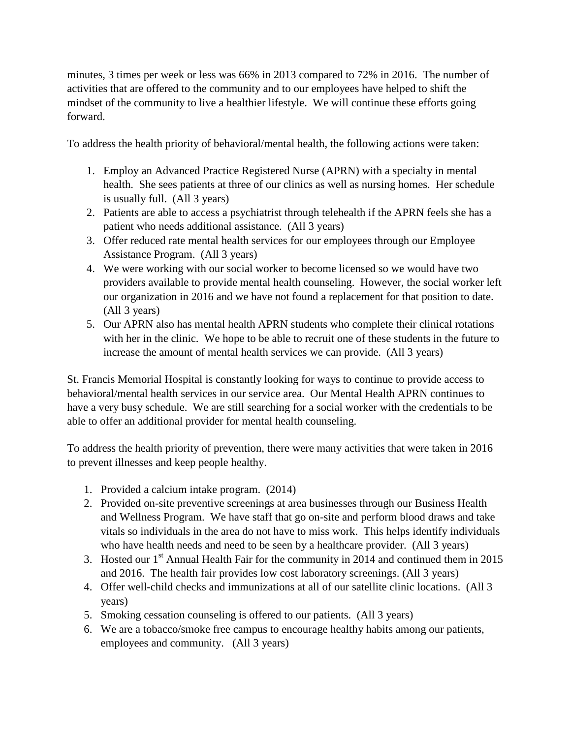minutes, 3 times per week or less was 66% in 2013 compared to 72% in 2016. The number of activities that are offered to the community and to our employees have helped to shift the mindset of the community to live a healthier lifestyle. We will continue these efforts going forward.

To address the health priority of behavioral/mental health, the following actions were taken:

- 1. Employ an Advanced Practice Registered Nurse (APRN) with a specialty in mental health. She sees patients at three of our clinics as well as nursing homes. Her schedule is usually full. (All 3 years)
- 2. Patients are able to access a psychiatrist through telehealth if the APRN feels she has a patient who needs additional assistance. (All 3 years)
- 3. Offer reduced rate mental health services for our employees through our Employee Assistance Program. (All 3 years)
- 4. We were working with our social worker to become licensed so we would have two providers available to provide mental health counseling. However, the social worker left our organization in 2016 and we have not found a replacement for that position to date. (All 3 years)
- 5. Our APRN also has mental health APRN students who complete their clinical rotations with her in the clinic. We hope to be able to recruit one of these students in the future to increase the amount of mental health services we can provide. (All 3 years)

St. Francis Memorial Hospital is constantly looking for ways to continue to provide access to behavioral/mental health services in our service area. Our Mental Health APRN continues to have a very busy schedule. We are still searching for a social worker with the credentials to be able to offer an additional provider for mental health counseling.

To address the health priority of prevention, there were many activities that were taken in 2016 to prevent illnesses and keep people healthy.

- 1. Provided a calcium intake program. (2014)
- 2. Provided on-site preventive screenings at area businesses through our Business Health and Wellness Program. We have staff that go on-site and perform blood draws and take vitals so individuals in the area do not have to miss work. This helps identify individuals who have health needs and need to be seen by a healthcare provider. (All 3 years)
- 3. Hosted our  $1<sup>st</sup>$  Annual Health Fair for the community in 2014 and continued them in 2015 and 2016. The health fair provides low cost laboratory screenings. (All 3 years)
- 4. Offer well-child checks and immunizations at all of our satellite clinic locations. (All 3 years)
- 5. Smoking cessation counseling is offered to our patients. (All 3 years)
- 6. We are a tobacco/smoke free campus to encourage healthy habits among our patients, employees and community. (All 3 years)